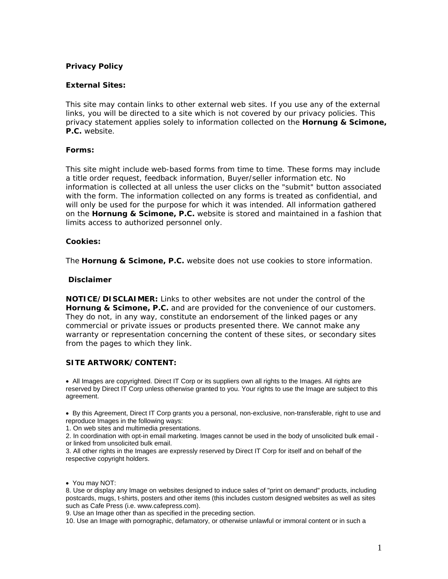# *Privacy Policy*

## **External Sites:**

This site may contain links to other external web sites. If you use any of the external links, you will be directed to a site which is not covered by our privacy policies. This privacy statement applies solely to information collected on the *Hornung & Scimone, P.C.* website.

## **Forms:**

This site might include web-based forms from time to time. These forms may include a title order request, feedback information, Buyer/seller information etc. No information is collected at all unless the user clicks on the "submit" button associated with the form. The information collected on any forms is treated as confidential, and will only be used for the purpose for which it was intended. All information gathered on the *Hornung & Scimone, P.C.* website is stored and maintained in a fashion that limits access to authorized personnel only.

## **Cookies:**

The *Hornung & Scimone, P.C.* website does not use cookies to store information.

## *Disclaimer*

**NOTICE/DISCLAIMER:** Links to other websites are not under the control of the *Hornung & Scimone, P.C.* and are provided for the convenience of our customers. They do not, in any way, constitute an endorsement of the linked pages or any commercial or private issues or products presented there. We cannot make any warranty or representation concerning the content of these sites, or secondary sites from the pages to which they link.

## **SITE ARTWORK/CONTENT:**

• All Images are copyrighted. Direct IT Corp or its suppliers own all rights to the Images. All rights are reserved by Direct IT Corp unless otherwise granted to you. Your rights to use the Image are subject to this agreement.

• By this Agreement, Direct IT Corp grants you a personal, non-exclusive, non-transferable, right to use and reproduce Images in the following ways:

1. On web sites and multimedia presentations.

2. In coordination with opt-in email marketing. Images cannot be used in the body of unsolicited bulk email or linked from unsolicited bulk email.

3. All other rights in the Images are expressly reserved by Direct IT Corp for itself and on behalf of the respective copyright holders.

8. Use or display any Image on websites designed to induce sales of "print on demand" products, including postcards, mugs, t-shirts, posters and other items (this includes custom designed websites as well as sites such as Cafe Press (i.e. www.cafepress.com).

9. Use an Image other than as specified in the preceding section.

10. Use an Image with pornographic, defamatory, or otherwise unlawful or immoral content or in such a

<sup>•</sup> You may NOT: